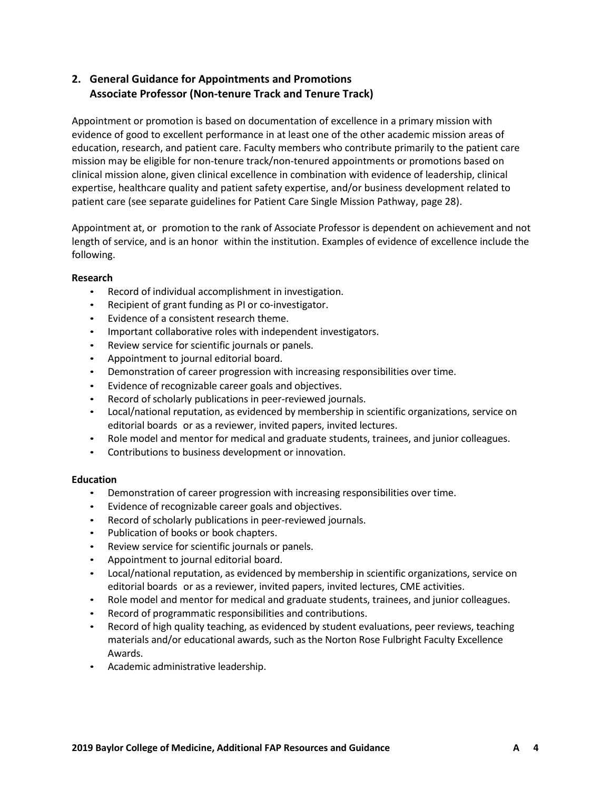## **2. General Guidance for Appointments and Promotions Associate Professor (Non-tenure Track and Tenure Track)**

Appointment or promotion is based on documentation of excellence in a primary mission with evidence of good to excellent performance in at least one of the other academic mission areas of education, research, and patient care. Faculty members who contribute primarily to the patient care mission may be eligible for non-tenure track/non-tenured appointments or promotions based on clinical mission alone, given clinical excellence in combination with evidence of leadership, clinical expertise, healthcare quality and patient safety expertise, and/or business development related to patient care (see separate guidelines for Patient Care Single Mission Pathway, page 28).

Appointment at, or promotion to the rank of Associate Professor is dependent on achievement and not length of service, and is an honor within the institution. Examples of evidence of excellence include the following.

## **Research**

- Record of individual accomplishment in investigation.
- Recipient of grant funding as PI or co-investigator.
- Evidence of a consistent research theme.
- Important collaborative roles with independent investigators.
- Review service for scientific journals or panels.
- Appointment to journal editorial board.
- Demonstration of career progression with increasing responsibilities over time.
- Evidence of recognizable career goals and objectives.
- Record of scholarly publications in peer-reviewed journals.
- Local/national reputation, as evidenced by membership in scientific organizations, service on editorial boards or as a reviewer, invited papers, invited lectures.
- Role model and mentor for medical and graduate students, trainees, and junior colleagues.
- Contributions to business development or innovation.

## **Education**

- Demonstration of career progression with increasing responsibilities over time.
- Evidence of recognizable career goals and objectives.
- Record of scholarly publications in peer-reviewed journals.
- Publication of books or book chapters.
- Review service for scientific journals or panels.
- Appointment to journal editorial board.
- Local/national reputation, as evidenced by membership in scientific organizations, service on editorial boards or as a reviewer, invited papers, invited lectures, CME activities.
- Role model and mentor for medical and graduate students, trainees, and junior colleagues.
- Record of programmatic responsibilities and contributions.
- Record of high quality teaching, as evidenced by student evaluations, peer reviews, teaching materials and/or educational awards, such as the Norton Rose Fulbright Faculty Excellence Awards.
- Academic administrative leadership.